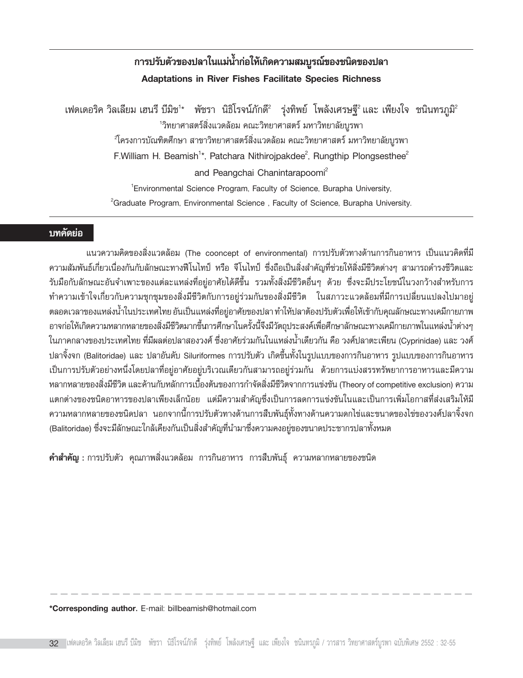# **°"√ª√∫μ— «¢Õߪ≈""π·¡ — πà È"°Õ"À à ‡°â ¥§«"¡ ¡∫ ' √≥Ÿ ¢Õß™π å ¥¢Õߪ≈" ' Adaptations in River Fishes Facilitate Species Richness**

เฟดเดอริค วิลเลียม เฮนรี บีมิช<sup>า</sup>\* พัชรา นิธิโรจน์ภักดี′ รุ่งทิพย์ โพลังเศรษฐี′ และ เพียงใจ ชนินทรภูมิ′ิ <sup>1</sup>วิทยาศาสตร์สิ่งแวดล้อม คณะวิทยาศาสตร์ มหาวิทยาลัยบูรพา  $^2$ โครงการบัณฑิตศึกษา สาขาวิทยาศาสตร์สิ่งแวดล้อม คณะวิทยาศาสตร์ มหาวิทยาลัยบูรพา F.William H. Beamish<sup>1\*</sup>, Patchara Nithirojpakdee<sup>2</sup>, Rungthip Plongsesthee<sup>2</sup> and Peangchai Chanintarapoomi<sup>2</sup> 1 Environmental Science Program, Faculty of Science, Burapha University,  ${}^{2}$ Graduate Program, Environmental Science, Faculty of Science, Burapha University.

## **บทคัดย่อ**

ึ แนวความคิดของสิ่งแวดล้อม (The cooncept of environmental) การปรับตัวทางด้านการกินอาหาร เป็นแนวคิดที่มี ์ ความสัมพันธ์เกี่ยวเนื่องกันกับลักษณะทางฟีโนไทป์ หรือ จีโนไทป์ ซึ่งถือเป็นสิ่งสำคัญที่ช่วยให้สิ่งมีชีวิตต่างๆ สามารถดำรงชีวิตและ ้รับมือกับลักษณะอันจำเพาะของแต่ละแหล่งที่อยู่อาศัยได้ดีขึ้น รวมทั้งสิ่งมีชีวิตอื่นๆ ด้วย ซึ่งจะมีประโยชน์ในวงกว้างสำหรับการ "ทำความเข้าใจเกี่ยวกับความชุกชุมของสิ่งมีชีวิตกับการอยู่ร่วมกันของสิ่งมีชีวิต ในสภาวะแวดล้อมที่มีการเปลี่ยนแปลงไปมาอยู่ ตลอดเวลาของแหล่งน้ำในประเทศไทย อันเป็นแหล่งที่อยู่อาศัยของปลา ทำให้ปลาต้องปรับตัวเพื่อให้เข้ากับคุณลักษณะทางเคมีกายภาพ ือาจก่อให้เกิดความหลากหลายของสิ่งมีชีวิตมากขึ้นการศึกษาในครั้งนี้จึงมีวัตถุประสงค์เพื่อศึกษาลักษณะทางเคมีกายภาพในแหล่งน้ำต่างๆ ในภาคกลางของประเทศไทย ที่มีผลต่อปลาสองวงศ์ ซึ่งอาศัยร่วมกันในแหล่งน้ำเดียวกัน คือ วงศ์ปลาตะเพียน (Cyprinidae) และ วงศ์ ิ ปลาจิ้งจก (Balitoridae) และ ปลาอันดับ Siluriformes การปรับตัว เกิดขึ้นทั้งในรูปแบบของการกินอาหาร รูปแบบของการกินอาหาร เป็นการปรับตัวอย่างหนึ่งโดยปลาที่อยู่อาศัยอยู่บริเวณเดียวกันสามารถอยู่ร่วมกัน ด้วยการแบ่งสรรทรัพยาการอาหารและมีความ ิ หลากหลายของสิ่งมีชีวิต และค้านกับหลักการเบื้องต้นของการกำจัดสิ่งมีชีวิตจากการแข่งขัน (Theory of competitive exclusion) ความ ้ แตกต่างของชนิดอาหารของปลาเพียงเล็กน้อย แต่มีความสำคัญซึ่งเป็นการลดการแข่งขันในและเป็นการเพิ่มโอกาสที่ส่งเสริมให้มี ึ ความหลากหลายของชนิดปลา นอกจากนี้การปรับตัวทางด้านการสืบพันธุ์ทั้งทางด้านความดกไข่และขนาดของไข่ของวงศ์ปลาจิ้งจก (Balitoridae) ซึ่งจะมีลักษณะใกล้เคียงกันเป็นสิ่งสำคัญที่นำมาซึ่งความคงอยู่ของขนาดประชากรปลาทั้งหมด

**์ คำสำคัญ** : การปรับตัว คุณภาพสิ่งแวดล้อม การกินอาหาร การสืบพันธุ์ ความหลากหลายของชนิด

**\*Corresponding author.** E-mail: billbeamish@hotmail.com

-----------------------------------------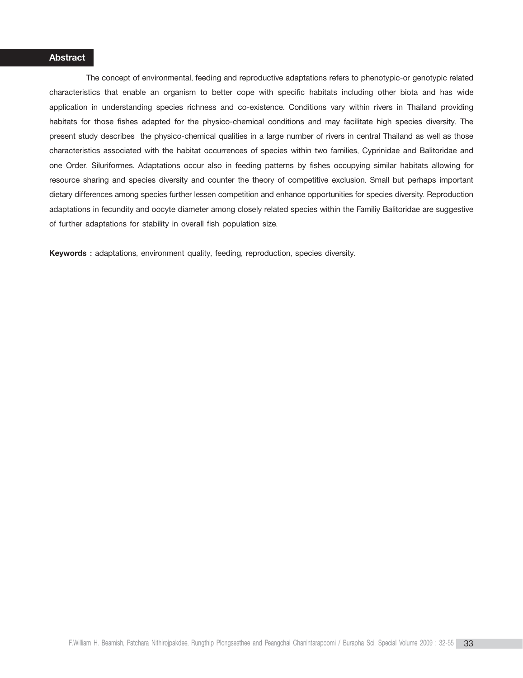## **Abstract**

The concept of environmental, feeding and reproductive adaptations refers to phenotypic-or genotypic related characteristics that enable an organism to better cope with specific habitats including other biota and has wide application in understanding species richness and co-existence. Conditions vary within rivers in Thailand providing habitats for those fishes adapted for the physico-chemical conditions and may facilitate high species diversity. The present study describes the physico-chemical qualities in a large number of rivers in central Thailand as well as those characteristics associated with the habitat occurrences of species within two families, Cyprinidae and Balitoridae and one Order, Siluriformes. Adaptations occur also in feeding patterns by fishes occupying similar habitats allowing for resource sharing and species diversity and counter the theory of competitive exclusion. Small but perhaps important dietary differences among species further lessen competition and enhance opportunities for species diversity. Reproduction adaptations in fecundity and oocyte diameter among closely related species within the Familiy Balitoridae are suggestive of further adaptations for stability in overall fish population size.

**Keywords :** adaptations, environment quality, feeding, reproduction, species diversity.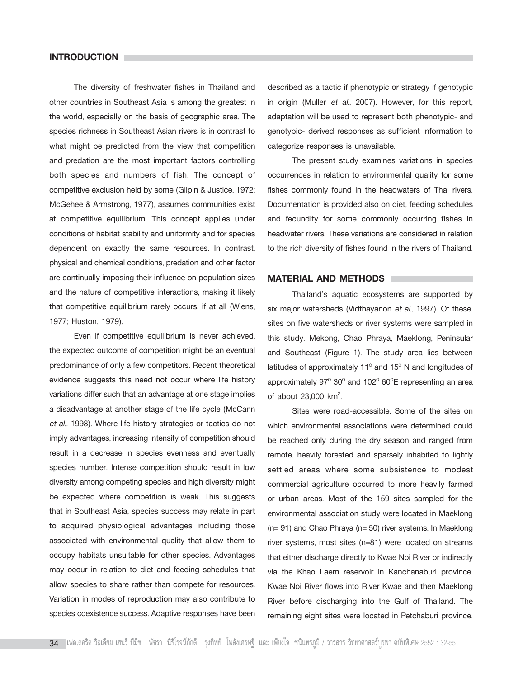## **INTRODUCTION**

The diversity of freshwater fishes in Thailand and other countries in Southeast Asia is among the greatest in the world, especially on the basis of geographic area. The species richness in Southeast Asian rivers is in contrast to what might be predicted from the view that competition and predation are the most important factors controlling both species and numbers of fish. The concept of competitive exclusion held by some (Gilpin & Justice, 1972; McGehee & Armstrong, 1977), assumes communities exist at competitive equilibrium. This concept applies under conditions of habitat stability and uniformity and for species dependent on exactly the same resources. In contrast, physical and chemical conditions, predation and other factor are continually imposing their influence on population sizes and the nature of competitive interactions, making it likely that competitive equilibrium rarely occurs, if at all (Wiens, 1977; Huston, 1979).

Even if competitive equilibrium is never achieved, the expected outcome of competition might be an eventual predominance of only a few competitors. Recent theoretical evidence suggests this need not occur where life history variations differ such that an advantage at one stage implies a disadvantage at another stage of the life cycle (McCann *et al.,* 1998). Where life history strategies or tactics do not imply advantages, increasing intensity of competition should result in a decrease in species evenness and eventually species number. Intense competition should result in low diversity among competing species and high diversity might be expected where competition is weak. This suggests that in Southeast Asia, species success may relate in part to acquired physiological advantages including those associated with environmental quality that allow them to occupy habitats unsuitable for other species. Advantages may occur in relation to diet and feeding schedules that allow species to share rather than compete for resources. Variation in modes of reproduction may also contribute to species coexistence success. Adaptive responses have been

described as a tactic if phenotypic or strategy if genotypic in origin (Muller *et al*., 2007). However, for this report, adaptation will be used to represent both phenotypic- and genotypic- derived responses as sufficient information to categorize responses is unavailable.

The present study examines variations in species occurrences in relation to environmental quality for some fishes commonly found in the headwaters of Thai rivers. Documentation is provided also on diet, feeding schedules and fecundity for some commonly occurring fishes in headwater rivers. These variations are considered in relation to the rich diversity of fishes found in the rivers of Thailand.

#### **MATERIAL AND METHODS**

Thailand's aquatic ecosystems are supported by six major watersheds (Vidthayanon *et al*., 1997). Of these, sites on five watersheds or river systems were sampled in this study. Mekong, Chao Phraya, Maeklong, Peninsular and Southeast (Figure 1). The study area lies between latitudes of approximately 11<sup>°</sup> and 15<sup>°</sup> N and longitudes of approximately  $97^{\circ}$  30 $^{\circ}$  and 102 $^{\circ}$  60 $^{\circ}$ E representing an area of about 23,000 km<sup>2</sup>. .

Sites were road-accessible. Some of the sites on which environmental associations were determined could be reached only during the dry season and ranged from remote, heavily forested and sparsely inhabited to lightly settled areas where some subsistence to modest commercial agriculture occurred to more heavily farmed or urban areas. Most of the 159 sites sampled for the environmental association study were located in Maeklong (n= 91) and Chao Phraya (n= 50) river systems. In Maeklong river systems, most sites (n=81) were located on streams that either discharge directly to Kwae Noi River or indirectly via the Khao Laem reservoir in Kanchanaburi province. Kwae Noi River flows into River Kwae and then Maeklong River before discharging into the Gulf of Thailand. The remaining eight sites were located in Petchaburi province.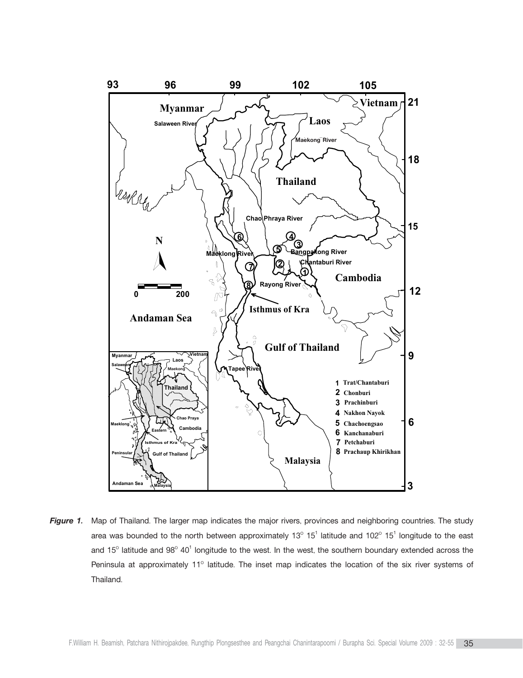

*Figure 1.* Map of Thailand. The larger map indicates the major rivers, provinces and neighboring countries. The study area was bounded to the north between approximately 13<sup>o</sup> 15<sup>1</sup> latitude and 102<sup>o</sup> 15<sup>1</sup> longitude to the east and 15<sup>°</sup> latitude and 98<sup>°</sup> 40<sup>1</sup> longitude to the west. In the west, the southern boundary extended across the Peninsula at approximately 11° latitude. The inset map indicates the location of the six river systems of Thailand.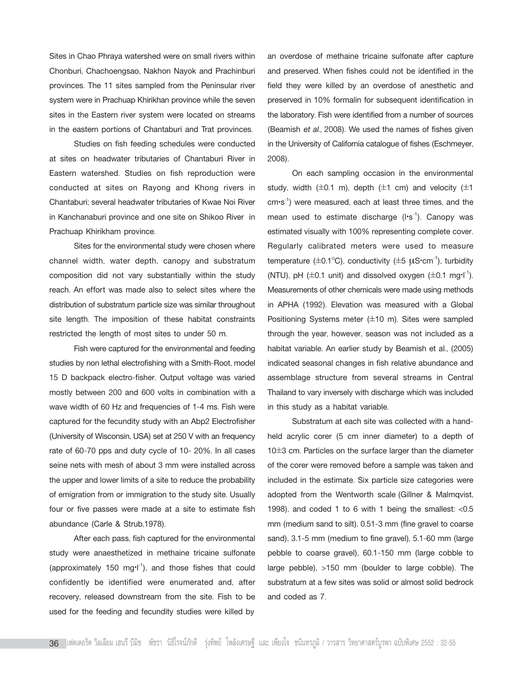Sites in Chao Phraya watershed were on small rivers within Chonburi, Chachoengsao, Nakhon Nayok and Prachinburi provinces. The 11 sites sampled from the Peninsular river system were in Prachuap Khirikhan province while the seven sites in the Eastern river system were located on streams in the eastern portions of Chantaburi and Trat provinces.

Studies on fish feeding schedules were conducted at sites on headwater tributaries of Chantaburi River in Eastern watershed. Studies on fish reproduction were conducted at sites on Rayong and Khong rivers in Chantaburi; several headwater tributaries of Kwae Noi River in Kanchanaburi province and one site on Shikoo River in Prachuap Khirikham province.

Sites for the environmental study were chosen where channel width, water depth, canopy and substratum composition did not vary substantially within the study reach. An effort was made also to select sites where the distribution of substratum particle size was similar throughout site length. The imposition of these habitat constraints restricted the length of most sites to under 50 m.

Fish were captured for the environmental and feeding studies by non lethal electrofishing with a Smith-Root, model 15 D backpack electro-fisher. Output voltage was varied mostly between 200 and 600 volts in combination with a wave width of 60 Hz and frequencies of 1-4 ms. Fish were captured for the fecundity study with an Abp2 Electrofisher (University of Wisconsin, USA) set at 250 V with an frequency rate of 60-70 pps and duty cycle of 10- 20%. In all cases seine nets with mesh of about 3 mm were installed across the upper and lower limits of a site to reduce the probability of emigration from or immigration to the study site. Usually four or five passes were made at a site to estimate fish abundance (Carle & Strub,1978).

After each pass, fish captured for the environmental study were anaesthetized in methaine tricaine sulfonate (approximately 150 mg $\cdot$ I<sup>-1</sup>), and those fishes that could confidently be identified were enumerated and, after recovery, released downstream from the site. Fish to be used for the feeding and fecundity studies were killed by

an overdose of methaine tricaine sulfonate after capture and preserved. When fishes could not be identified in the field they were killed by an overdose of anesthetic and preserved in 10% formalin for subsequent identification in the laboratory. Fish were identified from a number of sources (Beamish *et al.,* 2008). We used the names of fishes given in the University of California catalogue of fishes (Eschmeyer, 2008).

On each sampling occasion in the environmental study, width  $(\pm 0.1 \text{ m})$ , depth  $(\pm 1 \text{ cm})$  and velocity  $(\pm 1 \text{ m})$ cm·s<sup>-1</sup>) were measured, each at least three times, and the mean used to estimate discharge (l·s<sup>-1</sup>). Canopy was estimated visually with 100% representing complete cover. Regularly calibrated meters were used to measure temperature ( $\pm$ 0.1°C), conductivity ( $\pm$ 5  $\mu$ S·cm<sup>-1</sup>), turbidity (NTU), pH  $(\pm 0.1 \text{ unit})$  and dissolved oxygen  $(\pm 0.1 \text{ mg·l}^{-1})$ . Measurements of other chemicals were made using methods in APHA (1992). Elevation was measured with a Global Positioning Systems meter  $(\pm 10 \text{ m})$ . Sites were sampled through the year, however, season was not included as a habitat variable. An earlier study by Beamish et al., (2005) indicated seasonal changes in fish relative abundance and assemblage structure from several streams in Central Thailand to vary inversely with discharge which was included in this study as a habitat variable.

Substratum at each site was collected with a handheld acrylic corer (5 cm inner diameter) to a depth of 10±3 cm. Particles on the surface larger than the diameter of the corer were removed before a sample was taken and included in the estimate. Six particle size categories were adopted from the Wentworth scale (Gillner & Malmqvist, 1998), and coded 1 to 6 with 1 being the smallest: <0.5 mm (medium sand to silt), 0.51-3 mm (fine gravel to coarse sand), 3.1-5 mm (medium to fine gravel), 5.1-60 mm (large pebble to coarse gravel), 60.1-150 mm (large cobble to large pebble), >150 mm (boulder to large cobble). The substratum at a few sites was solid or almost solid bedrock and coded as 7.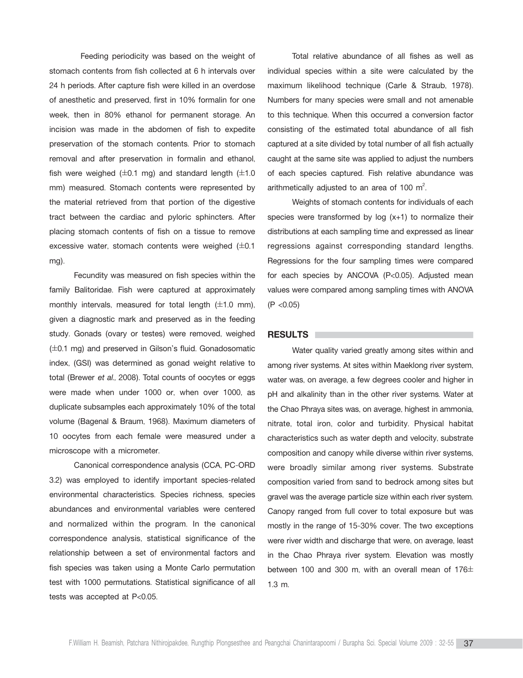Feeding periodicity was based on the weight of stomach contents from fish collected at 6 h intervals over 24 h periods. After capture fish were killed in an overdose of anesthetic and preserved, first in 10% formalin for one week, then in 80% ethanol for permanent storage. An incision was made in the abdomen of fish to expedite preservation of the stomach contents. Prior to stomach removal and after preservation in formalin and ethanol, fish were weighed  $(\pm 0.1 \text{ mg})$  and standard length  $(\pm 1.0 \text{ g})$ mm) measured. Stomach contents were represented by the material retrieved from that portion of the digestive tract between the cardiac and pyloric sphincters. After placing stomach contents of fish on a tissue to remove excessive water, stomach contents were weighed  $(\pm 0.1)$ mg).

Fecundity was measured on fish species within the family Balitoridae. Fish were captured at approximately monthly intervals, measured for total length  $(\pm 1.0 \text{ mm})$ , given a diagnostic mark and preserved as in the feeding study. Gonads (ovary or testes) were removed, weighed  $(\pm 0.1 \text{ mg})$  and preserved in Gilson's fluid. Gonadosomatic index, (GSI) was determined as gonad weight relative to total (Brewer *et al.,* 2008). Total counts of oocytes or eggs were made when under 1000 or, when over 1000, as duplicate subsamples each approximately 10% of the total volume (Bagenal & Braum, 1968). Maximum diameters of 10 oocytes from each female were measured under a microscope with a micrometer.

Canonical correspondence analysis (CCA, PC-ORD 3.2) was employed to identify important species-related environmental characteristics. Species richness, species abundances and environmental variables were centered and normalized within the program. In the canonical correspondence analysis, statistical significance of the relationship between a set of environmental factors and fish species was taken using a Monte Carlo permutation test with 1000 permutations. Statistical significance of all tests was accepted at P<0.05.

Total relative abundance of all fishes as well as individual species within a site were calculated by the maximum likelihood technique (Carle & Straub, 1978). Numbers for many species were small and not amenable to this technique. When this occurred a conversion factor consisting of the estimated total abundance of all fish captured at a site divided by total number of all fish actually caught at the same site was applied to adjust the numbers of each species captured. Fish relative abundance was arithmetically adjusted to an area of 100  $m^2$ . .

Weights of stomach contents for individuals of each species were transformed by log (x+1) to normalize their distributions at each sampling time and expressed as linear regressions against corresponding standard lengths. Regressions for the four sampling times were compared for each species by ANCOVA (P<0.05). Adjusted mean values were compared among sampling times with ANOVA (P <0.05)

#### **RESULTS**

Water quality varied greatly among sites within and among river systems. At sites within Maeklong river system, water was, on average, a few degrees cooler and higher in pH and alkalinity than in the other river systems. Water at the Chao Phraya sites was, on average, highest in ammonia, nitrate, total iron, color and turbidity. Physical habitat characteristics such as water depth and velocity, substrate composition and canopy while diverse within river systems, were broadly similar among river systems. Substrate composition varied from sand to bedrock among sites but gravel was the average particle size within each river system. Canopy ranged from full cover to total exposure but was mostly in the range of 15-30% cover. The two exceptions were river width and discharge that were, on average, least in the Chao Phraya river system. Elevation was mostly between 100 and 300 m, with an overall mean of 176 $\pm$ 1.3 m.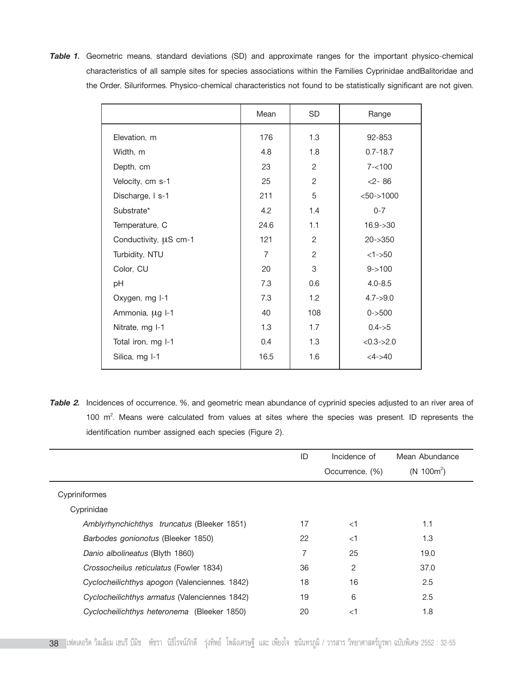*Table 1.* Geometric means, standard deviations (SD) and approximate ranges for the important physico-chemical characteristics of all sample sites for species associations within the Families Cyprinidae andBalitoridae and the Order, Siluriformes. Physico-chemical characteristics not found to be statistically significant are not given.

|                       | Mean           | <b>SD</b>      | Range           |
|-----------------------|----------------|----------------|-----------------|
| Elevation, m          | 176            | 1.3            | 92-853          |
| Width, m              | 4.8            | 1.8            | $0.7 - 18.7$    |
| Depth, cm             | 23             | 2              | $7 - 100$       |
| Velocity, cm s-1      | 25             | $\overline{2}$ | $2 - 86$        |
| Discharge, I s-1      | 211            | 5              | $<$ 50->1000    |
| Substrate*            | 4.2            | 1.4            | $0 - 7$         |
| Temperature, C        | 24.6           | 1.1            | $16.9 - > 30$   |
| Conductivity, µS cm-1 | 121            | $\overline{2}$ | $20 - 350$      |
| Turbidity, NTU        | $\overline{7}$ | 2              | $<1 - 50$       |
| Color, CU             | 20             | 3              | $9 - > 100$     |
| pH                    | 7.3            | 0.6            | $4.0 - 8.5$     |
| Oxygen, mg I-1        | 7.3            | 1.2            | $4.7 - > 9.0$   |
| Ammonia, µg I-1       | 40             | 108            | $0 - 500$       |
| Nitrate, mg I-1       | 1.3            | 1.7            | $0.4 - 5.5$     |
| Total iron, mg I-1    | 0.4            | 1.3            | $< 0.3 - > 2.0$ |
| Silica, mg I-1        | 16.5           | 1.6            | $<4 - > 40$     |

*Table 2.* Incidences of occurrence, %, and geometric mean abundance of cyprinid species adjusted to an river area of 100  $m^2$ . Means were calculated from values at sites where the species was present. ID represents the identification number assigned each species (Figure 2).

|                                               | ID | Incidence of<br>Occurrence, (%) | Mean Abundance<br>$(N 100m^2)$ |
|-----------------------------------------------|----|---------------------------------|--------------------------------|
| Cypriniformes                                 |    |                                 |                                |
| Cyprinidae                                    |    |                                 |                                |
| Amblyrhynchichthys truncatus (Bleeker 1851)   | 17 | $<$ 1                           | 1.1                            |
| Barbodes gonionotus (Bleeker 1850)            | 22 | $<$ 1                           | 1.3                            |
| Danio albolineatus (Blyth 1860)               | 7  | 25                              | 19.0                           |
| Crossocheilus reticulatus (Fowler 1834)       | 36 | $\overline{2}$                  | 37.0                           |
| Cyclocheilichthys apogon (Valenciennes. 1842) | 18 | 16                              | 2.5                            |
| Cyclocheilichthys armatus (Valenciennes 1842) | 19 | 6                               | 2.5                            |
| Cyclocheilichthys heteronema (Bleeker 1850)   | 20 | $<$ 1                           | 1.8                            |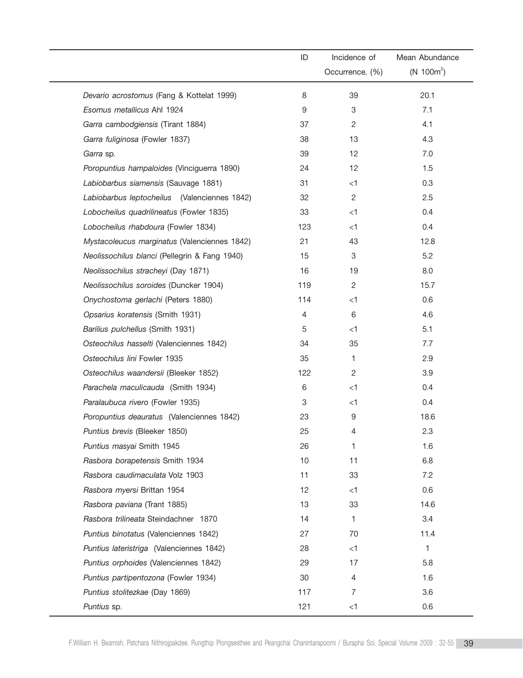|                                               | ID  | Incidence of    | Mean Abundance |
|-----------------------------------------------|-----|-----------------|----------------|
|                                               |     | Occurrence, (%) | $(N 100m^2)$   |
| Devario acrostomus (Fang & Kottelat 1999)     | 8   | 39              | 20.1           |
| Esomus metallicus Ahl 1924                    | 9   | 3               | 7.1            |
| Garra cambodgiensis (Tirant 1884)             | 37  | $\overline{c}$  | 4.1            |
| Garra fuliginosa (Fowler 1837)                | 38  | 13              | 4.3            |
| Garra sp.                                     | 39  | 12              | 7.0            |
| Poropuntius hampaloides (Vinciguerra 1890)    | 24  | 12              | 1.5            |
| Labiobarbus siamensis (Sauvage 1881)          | 31  | $<$ 1           | 0.3            |
| Labiobarbus leptocheilus (Valenciennes 1842)  | 32  | $\overline{c}$  | 2.5            |
| Lobocheilus quadrilineatus (Fowler 1835)      | 33  | $<$ 1           | 0.4            |
| Lobocheilus rhabdoura (Fowler 1834)           | 123 | $<$ 1           | 0.4            |
| Mystacoleucus marginatus (Valenciennes 1842)  | 21  | 43              | 12.8           |
| Neolissochilus blanci (Pellegrin & Fang 1940) | 15  | 3               | 5.2            |
| Neolissochilus stracheyi (Day 1871)           | 16  | 19              | 8.0            |
| Neolissochilus soroides (Duncker 1904)        | 119 | $\overline{c}$  | 15.7           |
| Onychostoma gerlachi (Peters 1880)            | 114 | $<$ 1           | 0.6            |
| Opsarius koratensis (Smith 1931)              | 4   | 6               | 4.6            |
| Barilius pulchellus (Smith 1931)              | 5   | $<$ 1           | 5.1            |
| Osteochilus hasselti (Valenciennes 1842)      | 34  | 35              | 7.7            |
| Osteochilus lini Fowler 1935                  | 35  | 1               | 2.9            |
| Osteochilus waandersii (Bleeker 1852)         | 122 | 2               | 3.9            |
| Parachela maculicauda (Smith 1934)            | 6   | $<$ 1           | 0.4            |
| Paralaubuca rivero (Fowler 1935)              | 3   | $<$ 1           | 0.4            |
| Poropuntius deauratus (Valenciennes 1842)     | 23  | 9               | 18.6           |
| Puntius brevis (Bleeker 1850)                 | 25  | 4               | 2.3            |
| Puntius masyai Smith 1945                     | 26  | 1               | 1.6            |
| Rasbora borapetensis Smith 1934               | 10  | 11              | 6.8            |
| Rasbora caudimaculata Volz 1903               | 11  | 33              | 7.2            |
| Rasbora myersi Brittan 1954                   | 12  | $<$ 1           | 0.6            |
| Rasbora paviana (Trant 1885)                  | 13  | 33              | 14.6           |
| Rasbora trilineata Steindachner 1870          | 14  | 1               | 3.4            |
| Puntius binotatus (Valenciennes 1842)         | 27  | 70              | 11.4           |
| Puntius lateristriga (Valenciennes 1842)      | 28  | $<$ 1           | 1              |
| Puntius orphoides (Valenciennes 1842)         | 29  | 17              | 5.8            |
| Puntius partipentozona (Fowler 1934)          | 30  | 4               | 1.6            |
| Puntius stolitezkae (Day 1869)                | 117 | $\overline{7}$  | 3.6            |
| Puntius sp.                                   | 121 | $<$ 1           | 0.6            |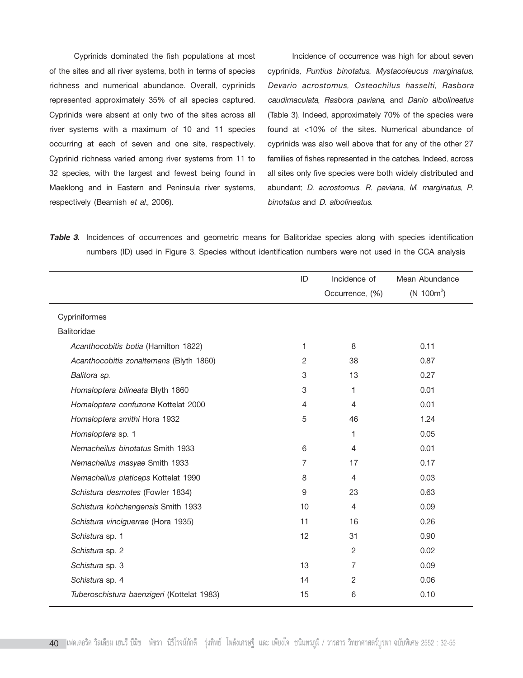Cyprinids dominated the fish populations at most of the sites and all river systems, both in terms of species richness and numerical abundance. Overall, cyprinids represented approximately 35% of all species captured. Cyprinids were absent at only two of the sites across all river systems with a maximum of 10 and 11 species occurring at each of seven and one site, respectively. Cyprinid richness varied among river systems from 11 to 32 species, with the largest and fewest being found in Maeklong and in Eastern and Peninsula river systems, respectively (Beamish *et al.,* 2006).

Incidence of occurrence was high for about seven cyprinids, *Puntius binotatus*, *Mystacoleucus marginatus, Devario acrostomus, Osteochilus hasselti, Rasbora caudimaculata, Rasbora paviana*, and *Danio albolineatus* (Table 3). Indeed, approximately 70% of the species were found at <10% of the sites. Numerical abundance of cyprinids was also well above that for any of the other 27 families of fishes represented in the catches. Indeed, across all sites only five species were both widely distributed and abundant; *D. acrostomus, R. paviana, M. marginatus*, *P. binotatus* and *D. albolineatus*.

*Table 3.* Incidences of occurrences and geometric means for Balitoridae species along with species identification numbers (ID) used in Figure 3. Species without identification numbers were not used in the CCA analysis

|                                            | ID | Incidence of    | Mean Abundance         |
|--------------------------------------------|----|-----------------|------------------------|
|                                            |    | Occurrence, (%) | (N 100m <sup>2</sup> ) |
| Cypriniformes                              |    |                 |                        |
| <b>Balitoridae</b>                         |    |                 |                        |
| Acanthocobitis botia (Hamilton 1822)       | 1  | 8               | 0.11                   |
| Acanthocobitis zonalternans (Blyth 1860)   | 2  | 38              | 0.87                   |
| Balitora sp.                               | 3  | 13              | 0.27                   |
| Homaloptera bilineata Blyth 1860           | 3  | 1               | 0.01                   |
| Homaloptera confuzona Kottelat 2000        | 4  | 4               | 0.01                   |
| Homaloptera smithi Hora 1932               | 5  | 46              | 1.24                   |
| Homaloptera sp. 1                          |    | 1               | 0.05                   |
| Nemacheilus binotatus Smith 1933           | 6  | 4               | 0.01                   |
| Nemacheilus masyae Smith 1933              | 7  | 17              | 0.17                   |
| Nemacheilus platiceps Kottelat 1990        | 8  | $\overline{4}$  | 0.03                   |
| Schistura desmotes (Fowler 1834)           | 9  | 23              | 0.63                   |
| Schistura kohchangensis Smith 1933         | 10 | 4               | 0.09                   |
| Schistura vinciguerrae (Hora 1935)         | 11 | 16              | 0.26                   |
| Schistura sp. 1                            | 12 | 31              | 0.90                   |
| Schistura sp. 2                            |    | $\overline{2}$  | 0.02                   |
| Schistura sp. 3                            | 13 | 7               | 0.09                   |
| Schistura sp. 4                            | 14 | $\overline{2}$  | 0.06                   |
| Tuberoschistura baenzigeri (Kottelat 1983) | 15 | 6               | 0.10                   |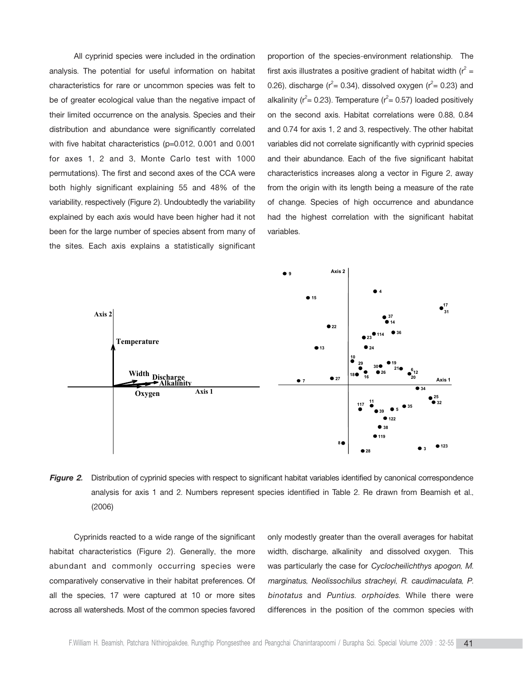All cyprinid species were included in the ordination analysis. The potential for useful information on habitat characteristics for rare or uncommon species was felt to be of greater ecological value than the negative impact of their limited occurrence on the analysis. Species and their distribution and abundance were significantly correlated with five habitat characteristics (p=0.012, 0.001 and 0.001 for axes 1, 2 and 3, Monte Carlo test with 1000 permutations). The first and second axes of the CCA were both highly significant explaining 55 and 48% of the variability, respectively (Figure 2). Undoubtedly the variability explained by each axis would have been higher had it not been for the large number of species absent from many of the sites. Each axis explains a statistically significant

proportion of the species-environment relationship. The first axis illustrates a positive gradient of habitat width ( $r^2 =$ 0.26), discharge ( $r^2$ = 0.34), dissolved oxygen ( $r^2$ = 0.23) and alkalinity ( $r^2$ = 0.23). Temperature ( $r^2$ = 0.57) loaded positively on the second axis. Habitat correlations were 0.88, 0.84 and 0.74 for axis 1, 2 and 3, respectively. The other habitat variables did not correlate significantly with cyprinid species and their abundance. Each of the five significant habitat characteristics increases along a vector in Figure 2, away from the origin with its length being a measure of the rate of change. Species of high occurrence and abundance had the highest correlation with the significant habitat variables.



**Figure 2.** Distribution of cyprinid species with respect to significant habitat variables identified by canonical correspondence analysis for axis 1 and 2. Numbers represent species identified in Table 2. Re drawn from Beamish et al., (2006)

Cyprinids reacted to a wide range of the significant habitat characteristics (Figure 2). Generally, the more abundant and commonly occurring species were comparatively conservative in their habitat preferences. Of all the species, 17 were captured at 10 or more sites across all watersheds. Most of the common species favored only modestly greater than the overall averages for habitat width, discharge, alkalinity and dissolved oxygen. This was particularly the case for *Cyclocheilichthys apogon, M. marginatus, Neolissochilus stracheyi, R. caudimaculata, P. binotatus* and *Puntius. orphoides*. While there were differences in the position of the common species with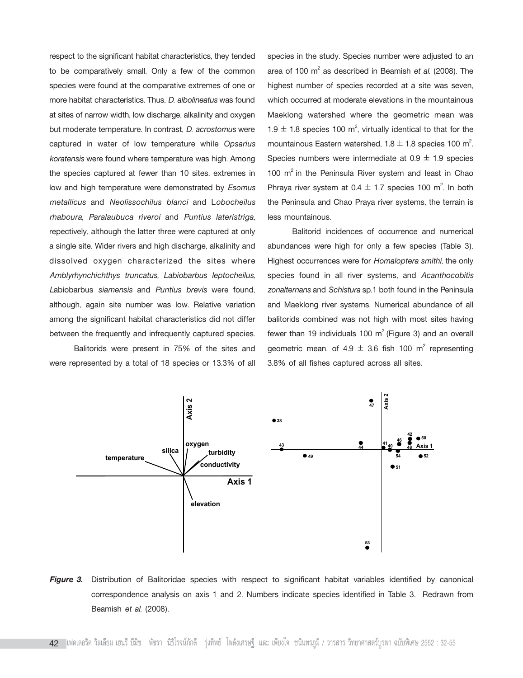respect to the significant habitat characteristics, they tended to be comparatively small. Only a few of the common species were found at the comparative extremes of one or more habitat characteristics. Thus, *D. albolineatus* was found at sites of narrow width, low discharge, alkalinity and oxygen but moderate temperature. In contrast, *D*. *acrostomus* were captured in water of low temperature while *Opsarius koratensis* were found where temperature was high. Among the species captured at fewer than 10 sites, extremes in low and high temperature were demonstrated by *Esomus metallicus* and *Neolissochilus blanci* and L*obocheilus rhaboura, Paralaubuca riveroi* and *Puntius lateristriga*, repectively, although the latter three were captured at only a single site. Wider rivers and high discharge, alkalinity and dissolved oxygen characterized the sites where *Amblyrhynchichthys truncatus, Labiobarbus leptocheilus, L*abiobarbus *siamensis* and *Puntius brevis* were found, although, again site number was low. Relative variation among the significant habitat characteristics did not differ between the frequently and infrequently captured species.

Balitorids were present in 75% of the sites and were represented by a total of 18 species or 13.3% of all species in the study. Species number were adjusted to an area of 100 m<sup>2</sup> as described in Beamish *et al.* (2008). The highest number of species recorded at a site was seven, which occurred at moderate elevations in the mountainous Maeklong watershed where the geometric mean was 1.9  $\pm$  1.8 species 100 m<sup>2</sup>, virtually identical to that for the mountainous Eastern watershed,  $1.8 \pm 1.8$  species 100 m<sup>2</sup>. . Species numbers were intermediate at  $0.9 \pm 1.9$  species 100  $m^2$  in the Peninsula River system and least in Chao Phraya river system at  $0.4 \pm 1.7$  species 100 m<sup>2</sup>. In both the Peninsula and Chao Praya river systems, the terrain is less mountainous.

Balitorid incidences of occurrence and numerical abundances were high for only a few species (Table 3). Highest occurrences were for *Homaloptera smithi*, the only species found in all river systems, and *Acanthocobitis zonalternans* and *Schistura* sp.1 both found in the Peninsula and Maeklong river systems. Numerical abundance of all balitorids combined was not high with most sites having fewer than 19 individuals 100  $m^2$  (Figure 3) and an overall geometric mean. of  $4.9 \pm 3.6$  fish 100 m<sup>2</sup> representing 3.8% of all fishes captured across all sites.



*Figure 3.* Distribution of Balitoridae species with respect to significant habitat variables identified by canonical correspondence analysis on axis 1 and 2. Numbers indicate species identified in Table 3. Redrawn from Beamish *et al.* (2008).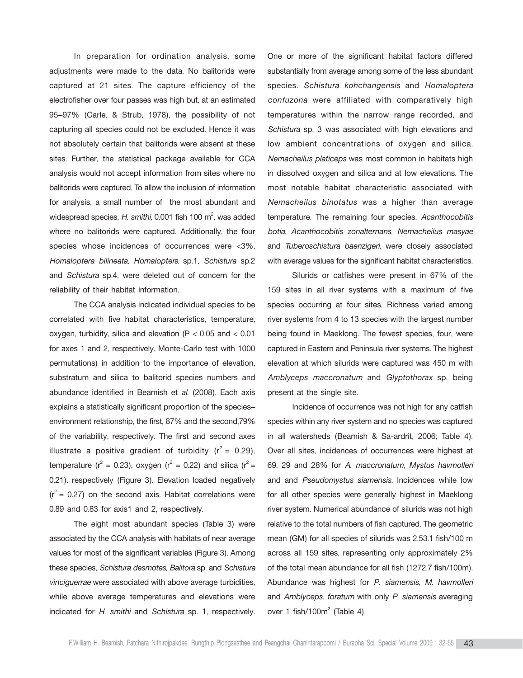In preparation for ordination analysis, some adjustments were made to the data. No balitorids were captured at 21 sites. The capture efficiency of the electrofisher over four passes was high but, at an estimated 95-97% (Carle, & Strub, 1978), the possibility of not capturing all species could not be excluded. Hence it was not absolutely certain that balitorids were absent at these sites. Further, the statistical package available for CCA analysis would not accept information from sites where no balitorids were captured. To allow the inclusion of information for analysis, a small number of the most abundant and widespread species, H. smithi, 0.001 fish 100 m<sup>2</sup>, was added where no balitorids were captured. Additionally, the four species whose incidences of occurrences were <3%, *Homaloptera bilineata*, *Homalopter*a sp.1, *Schistura* sp.2 and *Schistura* sp.4, were deleted out of concern for the reliability of their habitat information.

The CCA analysis indicated individual species to be correlated with five habitat characteristics, temperature, oxygen, turbidity, silica and elevation (P < 0.05 and < 0.01 for axes 1 and 2, respectively, Monte-Carlo test with 1000 permutations) in addition to the importance of elevation, substratum and silica to balitorid species numbers and abundance identified in Beamish et *al*. (2008). Each axis explains a statistically significant proportion of the speciesenvironment relationship, the first, 87% and the second,79% of the variability, respectively. The first and second axes illustrate a positive gradient of turbidity  $(r^2 = 0.29)$ , temperature ( $r^2 = 0.23$ ), oxygen ( $r^2 = 0.22$ ) and silica ( $r^2 =$ 0.21), respectively (Figure 3). Elevation loaded negatively  $(r^2 = 0.27)$  on the second axis. Habitat correlations were 0.89 and 0.83 for axis1 and 2, respectively.

The eight most abundant species (Table 3) were associated by the CCA analysis with habitats of near average values for most of the significant variables (Figure 3). Among these species, *Schistura desmotes*, *Balitora* sp. and *Schistura vinciguerrae* were associated with above average turbidities, while above average temperatures and elevations were indicated for *H. smithi* and *Schistura* sp. 1, respectively. One or more of the significant habitat factors differed substantially from average among some of the less abundant species. *Schistura kohchangensis* and *Homaloptera confuzona* were affiliated with comparatively high temperatures within the narrow range recorded, and *Schistura* sp. 3 was associated with high elevations and low ambient concentrations of oxygen and silica. *Nemacheilus platiceps* was most common in habitats high in dissolved oxygen and silica and at low elevations. The most notable habitat characteristic associated with *Nemacheilus binotatus* was a higher than average temperature. The remaining four species, *Acanthocobitis botia*, *Acanthocobitis zonalternans, Nemacheilus masyae* and *Tuberoschistura baenzigeri*, were closely associated with average values for the significant habitat characteristics.

Silurids or catfishes were present in 67% of the 159 sites in all river systems with a maximum of five species occurring at four sites. Richness varied among river systems from 4 to 13 species with the largest number being found in Maeklong. The fewest species, four, were captured in Eastern and Peninsula river systems. The highest elevation at which silurids were captured was 450 m with *Amblyceps maccronatum* and *Glyptothorax* sp. being present at the single site.

Incidence of occurrence was not high for any catfish species within any river system and no species was captured in all watersheds (Beamish & Sa-ardrit, 2006; Table 4). Over all sites, incidences of occurrences were highest at 69, 29 and 28% for *A*. *maccronatum*, *Mystus havmolleri* and and *Pseudomystus siamensis.* Incidences while low for all other species were generally highest in Maeklong river system. Numerical abundance of silurids was not high relative to the total numbers of fish captured. The geometric mean (GM) for all species of silurids was 2.53.1 fish/100 m across all 159 sites, representing only approximately 2% of the total mean abundance for all fish (1272.7 fish/100m). Abundance was highest for *P. siamensis, M. havmolleri* and *Amblyceps. foratum* with only *P. siamensis* averaging over 1 fish/100 $m^2$  (Table 4).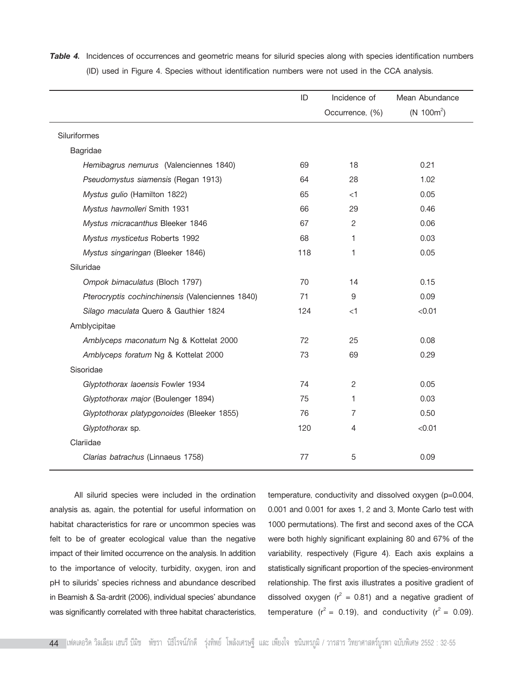|                                                  | ID  | Incidence of    | Mean Abundance         |
|--------------------------------------------------|-----|-----------------|------------------------|
|                                                  |     | Occurrence, (%) | (N 100m <sup>2</sup> ) |
| Siluriformes                                     |     |                 |                        |
| Bagridae                                         |     |                 |                        |
| Hemibagrus nemurus (Valenciennes 1840)           | 69  | 18              | 0.21                   |
| Pseudomystus siamensis (Regan 1913)              | 64  | 28              | 1.02                   |
| Mystus gulio (Hamilton 1822)                     | 65  | $<$ 1           | 0.05                   |
| Mystus havmolleri Smith 1931                     | 66  | 29              | 0.46                   |
| Mystus micracanthus Bleeker 1846                 | 67  | 2               | 0.06                   |
| Mystus mysticetus Roberts 1992                   | 68  | 1               | 0.03                   |
| Mystus singaringan (Bleeker 1846)                | 118 | 1               | 0.05                   |
| Siluridae                                        |     |                 |                        |
| Ompok bimaculatus (Bloch 1797)                   | 70  | 14              | 0.15                   |
| Pterocryptis cochinchinensis (Valenciennes 1840) | 71  | 9               | 0.09                   |
| Silago maculata Quero & Gauthier 1824            | 124 | $<$ 1           | < 0.01                 |
| Amblycipitae                                     |     |                 |                        |
| Amblyceps maconatum Ng & Kottelat 2000           | 72  | 25              | 0.08                   |
| Amblyceps foratum Ng & Kottelat 2000             | 73  | 69              | 0.29                   |
| Sisoridae                                        |     |                 |                        |
| Glyptothorax laoensis Fowler 1934                | 74  | $\overline{2}$  | 0.05                   |
| Glyptothorax major (Boulenger 1894)              | 75  | 1               | 0.03                   |
| Glyptothorax platypgonoides (Bleeker 1855)       | 76  | $\overline{7}$  | 0.50                   |
| Glyptothorax sp.                                 | 120 | 4               | < 0.01                 |
| Clariidae                                        |     |                 |                        |
| Clarias batrachus (Linnaeus 1758)                | 77  | 5               | 0.09                   |
|                                                  |     |                 |                        |

**Table 4.** Incidences of occurrences and geometric means for silurid species along with species identification numbers (ID) used in Figure 4. Species without identification numbers were not used in the CCA analysis.

All silurid species were included in the ordination analysis as, again, the potential for useful information on habitat characteristics for rare or uncommon species was felt to be of greater ecological value than the negative impact of their limited occurrence on the analysis. In addition to the importance of velocity, turbidity, oxygen, iron and pH to silurids' species richness and abundance described in Beamish & Sa-ardrit (2006), individual species' abundance was significantly correlated with three habitat characteristics,

temperature, conductivity and dissolved oxygen (p=0.004, 0.001 and 0.001 for axes 1, 2 and 3, Monte Carlo test with 1000 permutations). The first and second axes of the CCA were both highly significant explaining 80 and 67% of the variability, respectively (Figure 4). Each axis explains a statistically significant proportion of the species-environment relationship. The first axis illustrates a positive gradient of dissolved oxygen ( $r^2 = 0.81$ ) and a negative gradient of temperature ( $r^2 = 0.19$ ), and conductivity ( $r^2 = 0.09$ ).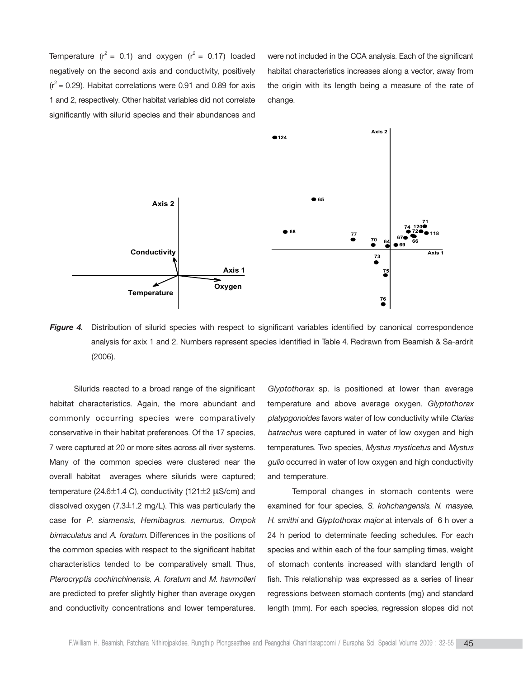Temperature  $(r^2 = 0.1)$  and oxygen  $(r^2 = 0.17)$  loaded negatively on the second axis and conductivity, positively  $(r^2 = 0.29)$ . Habitat correlations were 0.91 and 0.89 for axis 1 and 2, respectively. Other habitat variables did not correlate significantly with silurid species and their abundances and

were not included in the CCA analysis. Each of the significant habitat characteristics increases along a vector, away from the origin with its length being a measure of the rate of change.



**Figure 4.** Distribution of silurid species with respect to significant variables identified by canonical correspondence analysis for axix 1 and 2. Numbers represent species identified in Table 4. Redrawn from Beamish & Sa-ardrit (2006).

Silurids reacted to a broad range of the significant habitat characteristics. Again, the more abundant and commonly occurring species were comparatively conservative in their habitat preferences. Of the 17 species, 7 were captured at 20 or more sites across all river systems. Many of the common species were clustered near the overall habitat averages where silurids were captured; temperature (24.6 $\pm$ 1.4 C), conductivity (121 $\pm$ 2  $\mu$ S/cm) and dissolved oxygen  $(7.3\pm1.2 \text{ mg/L})$ . This was particularly the case for *P. siamensis, Hemibagrus. nemurus, Ompok bimaculatus* and *A. foratum*. Differences in the positions of the common species with respect to the significant habitat characteristics tended to be comparatively small. Thus, *Pterocryptis cochinchinensis, A. foratum* and *M. havmolleri* are predicted to prefer slightly higher than average oxygen and conductivity concentrations and lower temperatures.

*Glyptothorax* sp. is positioned at lower than average temperature and above average oxygen. *Glyptothorax platypgonoides* favors water of low conductivity while *Clarias batrachus* were captured in water of low oxygen and high temperatures. Two species, *Mystus mysticetus* and *Mystus gulio* occurred in water of low oxygen and high conductivity and temperature.

Temporal changes in stomach contents were examined for four species, *S. kohchangensis*, *N. masyae*, *H. smithi* and *Glyptothorax major* at intervals of 6 h over a 24 h period to determinate feeding schedules. For each species and within each of the four sampling times, weight of stomach contents increased with standard length of fish. This relationship was expressed as a series of linear regressions between stomach contents (mg) and standard length (mm). For each species, regression slopes did not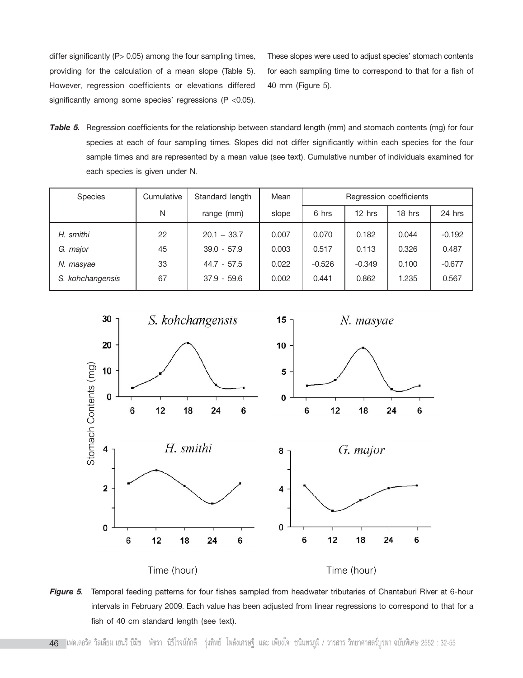differ significantly (P > 0.05) among the four sampling times, providing for the calculation of a mean slope (Table 5). However, regression coefficients or elevations differed significantly among some species' regressions ( $P$  <0.05).

These slopes were used to adjust species' stomach contents for each sampling time to correspond to that for a fish of 40 mm (Figure 5).

*Table 5.* Regression coefficients for the relationship between standard length (mm) and stomach contents (mg) for four species at each of four sampling times. Slopes did not differ significantly within each species for the four sample times and are represented by a mean value (see text). Cumulative number of individuals examined for each species is given under N.

| Species          | Cumulative | Standard length | Mean  | Regression coefficients |          |        |          |
|------------------|------------|-----------------|-------|-------------------------|----------|--------|----------|
|                  | N          | range (mm)      | slope | 6 hrs                   | $12$ hrs | 18 hrs | 24 hrs   |
| H. smithi        | 22         | $20.1 - 33.7$   | 0.007 | 0.070                   | 0.182    | 0.044  | $-0.192$ |
| G. major         | 45         | $39.0 - 57.9$   | 0.003 | 0.517                   | 0.113    | 0.326  | 0.487    |
| N. masyae        | 33         | $44.7 - 57.5$   | 0.022 | $-0.526$                | $-0.349$ | 0.100  | $-0.677$ |
| S. kohchangensis | 67         | $37.9 - 59.6$   | 0.002 | 0.441                   | 0.862    | 1.235  | 0.567    |



*Figure 5.* Temporal feeding patterns for four fishes sampled from headwater tributaries of Chantaburi River at 6-hour intervals in February 2009. Each value has been adjusted from linear regressions to correspond to that for a fish of 40 cm standard length (see text).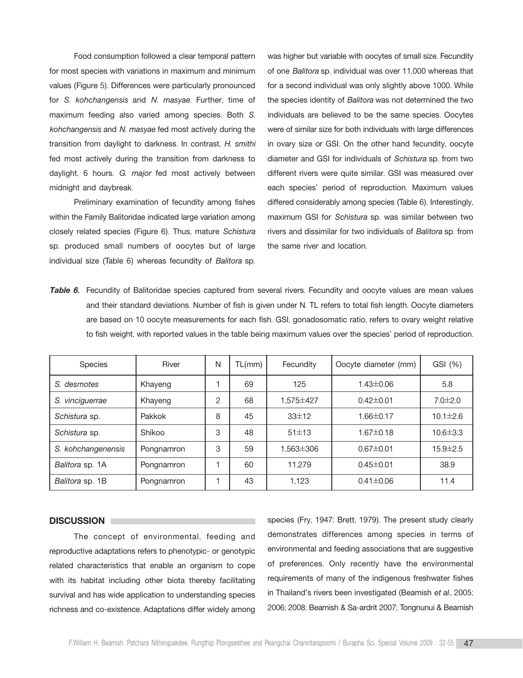Food consumption followed a clear temporal pattern for most species with variations in maximum and minimum values (Figure 5). Differences were particularly pronounced for *S. kohchangensis* and *N. masyae.* Further, time of maximum feeding also varied among species. Both *S. kohchangensis* and *N. masyae* fed most actively during the transition from daylight to darkness. In contrast, *H. smithi* fed most actively during the transition from darkness to daylight, 6 hours. *G. major* fed most actively between midnight and daybreak.

Preliminary examination of fecundity among fishes within the Family Balitoridae indicated large variation among closely related species (Figure 6). Thus, mature *Schistura* sp. produced small numbers of oocytes but of large individual size (Table 6) whereas fecundity of *Balitora* sp.

was higher but variable with oocytes of small size. Fecundity of one *Balitora* sp. individual was over 11,000 whereas that for a second individual was only slightly above 1000. While the species identity of *Balitora* was not determined the two individuals are believed to be the same species. Oocytes were of similar size for both individuals with large differences in ovary size or GSI. On the other hand fecundity, oocyte diameter and GSI for individuals of *Schistura* sp. from two different rivers were quite similar. GSI was measured over each species' period of reproduction. Maximum values differed considerably among species (Table 6). Interestingly, maximum GSI for *Schistura* sp. was similar between two rivers and dissimilar for two individuals of *Balitora* sp. from the same river and location.

*Table 6.* Fecundity of Balitoridae species captured from several rivers. Fecundity and oocyte values are mean values and their standard deviations. Number of fish is given under N. TL refers to total fish length. Oocyte diameters are based on 10 oocyte measurements for each fish. GSI, gonadosomatic ratio, refers to ovary weight relative to fish weight, with reported values in the table being maximum values over the species' period of reproduction.

| <b>Species</b>     | <b>River</b> | N | TL(mm) | Fecundity   | Oocyte diameter (mm) | GSI (%)        |
|--------------------|--------------|---|--------|-------------|----------------------|----------------|
| S. desmotes        | Khayeng      |   | 69     | 125         | $1.43 \pm 0.06$      | 5.8            |
| S. vinciguerrae    | Khayeng      | 2 | 68     | 1.575 ± 427 | $0.42 \pm 0.01$      | $7.0 \pm 2.0$  |
| Schistura sp.      | Pakkok       | 8 | 45     | 33±12       | $1.66 \pm 0.17$      | $10.1 \pm 2.6$ |
| Schistura sp.      | Shikoo       | 3 | 48     | 51±13       | $1.67 \pm 0.18$      | $10.6 \pm 3.3$ |
| S. kohchangenensis | Pongnamron   | 3 | 59     | 1.563±306   | $0.67 \pm 0.01$      | $15.9 \pm 2.5$ |
| Balitora sp. 1A    | Pongnamron   |   | 60     | 11.279      | $0.45 \pm 0.01$      | 38.9           |
| Balitora sp. 1B    | Pongnamron   |   | 43     | 1,123       | $0.41 \pm 0.06$      | 11.4           |

#### **DISCUSSION**

The concept of environmental, feeding and reproductive adaptations refers to phenotypic- or genotypic related characteristics that enable an organism to cope with its habitat including other biota thereby facilitating survival and has wide application to understanding species richness and co-existence. Adaptations differ widely among

species (Fry, 1947; Brett, 1979). The present study clearly demonstrates differences among species in terms of environmental and feeding associations that are suggestive of preferences. Only recently have the environmental requirements of many of the indigenous freshwater fishes in Thailand's rivers been investigated (Beamish et al., 2005; 2006; 2008; Beamish & Sa-ardrit 2007; Tongnunui & Beamish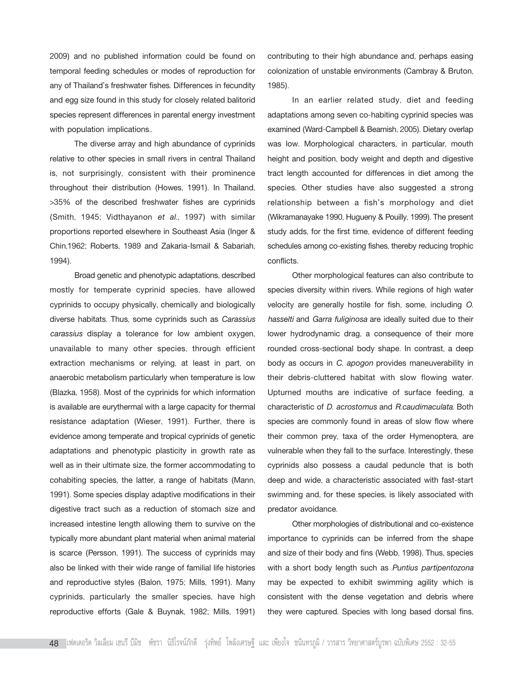2009) and no published information could be found on temporal feeding schedules or modes of reproduction for any of Thailand's freshwater fishes. Differences in fecundity and egg size found in this study for closely related balitorid species represent differences in parental energy investment with population implications..

The diverse array and high abundance of cyprinids relative to other species in small rivers in central Thailand is, not surprisingly, consistent with their prominence throughout their distribution (Howes, 1991). In Thailand, >35% of the described freshwater fishes are cyprinids (Smith, 1945; Vidthayanon *et al*., 1997) with similar proportions reported elsewhere in Southeast Asia (Inger & Chin,1962; Roberts, 1989 and Zakaria-Ismail & Sabariah, 1994).

Broad genetic and phenotypic adaptations, described mostly for temperate cyprinid species, have allowed cyprinids to occupy physically, chemically and biologically diverse habitats. Thus, some cyprinids such as *Carassius carassius* display a tolerance for low ambient oxygen, unavailable to many other species, through efficient extraction mechanisms or relying, at least in part, on anaerobic metabolism particularly when temperature is low (Blazka, 1958). Most of the cyprinids for which information is available are eurythermal with a large capacity for thermal resistance adaptation (Wieser, 1991). Further, there is evidence among temperate and tropical cyprinids of genetic adaptations and phenotypic plasticity in growth rate as well as in their ultimate size, the former accommodating to cohabiting species, the latter, a range of habitats (Mann, 1991). Some species display adaptive modifications in their digestive tract such as a reduction of stomach size and increased intestine length allowing them to survive on the typically more abundant plant material when animal material is scarce (Persson, 1991). The success of cyprinids may also be linked with their wide range of familial life histories and reproductive styles (Balon, 1975; Mills, 1991). Many cyprinids, particularly the smaller species, have high reproductive efforts (Gale & Buynak, 1982; Mills, 1991) contributing to their high abundance and, perhaps easing colonization of unstable environments (Cambray & Bruton, 1985).

In an earlier related study, diet and feeding adaptations among seven co-habiting cyprinid species was examined (Ward-Campbell & Beamish, 2005). Dietary overlap was low. Morphological characters, in particular, mouth height and position, body weight and depth and digestive tract length accounted for differences in diet among the species. Other studies have also suggested a strong relationship between a fish's morphology and diet (Wikramanayake 1990, Hugueny & Pouilly, 1999). The present study adds, for the first time, evidence of different feeding schedules among co-existing fishes, thereby reducing trophic conflicts.

Other morphological features can also contribute to species diversity within rivers. While regions of high water velocity are generally hostile for fish, some, including *O. hasselti* and *Garra fuliginosa* are ideally suited due to their lower hydrodynamic drag, a consequence of their more rounded cross-sectional body shape. In contrast, a deep body as occurs in *C. apogon* provides maneuverability in their debris-cluttered habitat with slow flowing water. Upturned mouths are indicative of surface feeding, a characteristic of *D. acrostomus* and *R.caudimaculata*. Both species are commonly found in areas of slow flow where their common prey, taxa of the order Hymenoptera, are vulnerable when they fall to the surface. Interestingly, these cyprinids also possess a caudal peduncle that is both deep and wide, a characteristic associated with fast-start swimming and, for these species, is likely associated with predator avoidance.

Other morphologies of distributional and co-existence importance to cyprinids can be inferred from the shape and size of their body and fins (Webb, 1998). Thus, species with a short body length such as *Puntius partipentozona* may be expected to exhibit swimming agility which is consistent with the dense vegetation and debris where they were captured. Species with long based dorsal fins,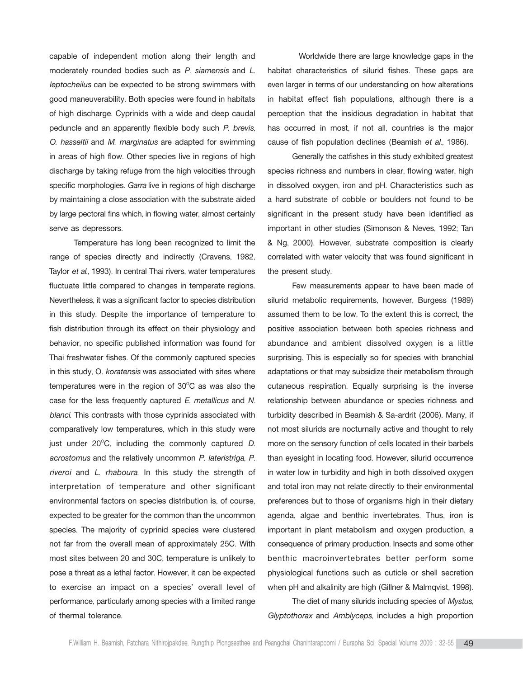capable of independent motion along their length and moderately rounded bodies such as *P. siamensis* and *L. leptocheilus* can be expected to be strong swimmers with good maneuverability. Both species were found in habitats of high discharge. Cyprinids with a wide and deep caudal peduncle and an apparently flexible body such *P. brevis, O. hasseltii* and *M. marginatus* are adapted for swimming in areas of high flow. Other species live in regions of high discharge by taking refuge from the high velocities through specific morphologies. *Garra* live in regions of high discharge by maintaining a close association with the substrate aided by large pectoral fins which, in flowing water, almost certainly serve as depressors.

Temperature has long been recognized to limit the range of species directly and indirectly (Cravens, 1982, Taylor *et al*., 1993). In central Thai rivers, water temperatures fluctuate little compared to changes in temperate regions. Nevertheless, it was a significant factor to species distribution in this study. Despite the importance of temperature to fish distribution through its effect on their physiology and behavior, no specific published information was found for Thai freshwater fishes. Of the commonly captured species in this study, O*. koratensis* was associated with sites where temperatures were in the region of  $30^{\circ}$ C as was also the case for the less frequently captured *E. metallicus* and *N. blanci*. This contrasts with those cyprinids associated with comparatively low temperatures, which in this study were just under 20<sup>o</sup>C, including the commonly captured *D*. *acrostomus* and the relatively uncommon *P. lateristriga, P. riveroi* and *L. rhaboura*. In this study the strength of interpretation of temperature and other significant environmental factors on species distribution is, of course, expected to be greater for the common than the uncommon species. The majority of cyprinid species were clustered not far from the overall mean of approximately 25C. With most sites between 20 and 30C, temperature is unlikely to pose a threat as a lethal factor. However, it can be expected to exercise an impact on a species' overall level of performance, particularly among species with a limited range of thermal tolerance.

Worldwide there are large knowledge gaps in the habitat characteristics of silurid fishes. These gaps are even larger in terms of our understanding on how alterations in habitat effect fish populations, although there is a perception that the insidious degradation in habitat that has occurred in most, if not all, countries is the major cause of fish population declines (Beamish *et al.,* 1986).

Generally the catfishes in this study exhibited greatest species richness and numbers in clear, flowing water, high in dissolved oxygen, iron and pH. Characteristics such as a hard substrate of cobble or boulders not found to be significant in the present study have been identified as important in other studies (Simonson & Neves, 1992; Tan & Ng, 2000). However, substrate composition is clearly correlated with water velocity that was found significant in the present study.

Few measurements appear to have been made of silurid metabolic requirements, however, Burgess (1989) assumed them to be low. To the extent this is correct, the positive association between both species richness and abundance and ambient dissolved oxygen is a little surprising. This is especially so for species with branchial adaptations or that may subsidize their metabolism through cutaneous respiration. Equally surprising is the inverse relationship between abundance or species richness and turbidity described in Beamish & Sa-ardrit (2006). Many, if not most silurids are nocturnally active and thought to rely more on the sensory function of cells located in their barbels than eyesight in locating food. However, silurid occurrence in water low in turbidity and high in both dissolved oxygen and total iron may not relate directly to their environmental preferences but to those of organisms high in their dietary agenda, algae and benthic invertebrates. Thus, iron is important in plant metabolism and oxygen production, a consequence of primary production. Insects and some other benthic macroinvertebrates better perform some physiological functions such as cuticle or shell secretion when pH and alkalinity are high (Gillner & Malmqvist, 1998).

The diet of many silurids including species of *Mystus*, *Glyptothorax* and *Amblyceps*, includes a high proportion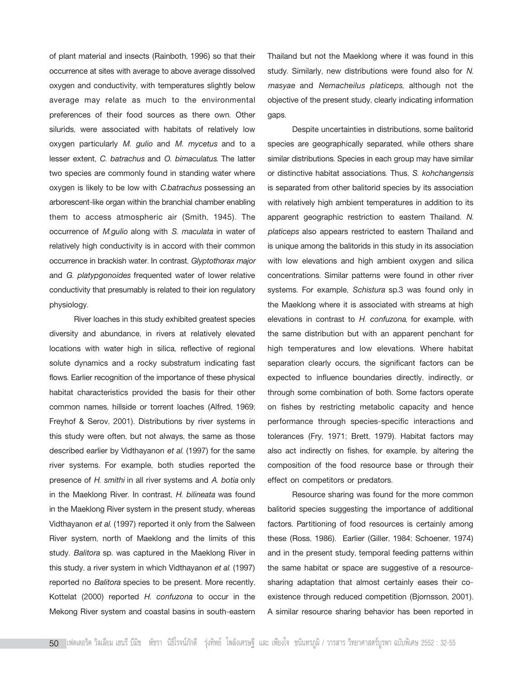of plant material and insects (Rainboth, 1996) so that their occurrence at sites with average to above average dissolved oxygen and conductivity, with temperatures slightly below average may relate as much to the environmental preferences of their food sources as there own. Other silurids, were associated with habitats of relatively low oxygen particularly *M. gulio* and *M. mycetus* and to a lesser extent, *C. batrachus* and *O. bimaculatus*. The latter two species are commonly found in standing water where oxygen is likely to be low with *C.batrachus* possessing an arborescent-like organ within the branchial chamber enabling them to access atmospheric air (Smith, 1945). The occurrence of *M.gulio* along with *S. maculata* in water of relatively high conductivity is in accord with their common occurrence in brackish water. In contrast, *Glyptothorax major* and *G. platypgonoides* frequented water of lower relative conductivity that presumably is related to their ion regulatory physiology.

River loaches in this study exhibited greatest species diversity and abundance, in rivers at relatively elevated locations with water high in silica, reflective of regional solute dynamics and a rocky substratum indicating fast flows. Earlier recognition of the importance of these physical habitat characteristics provided the basis for their other common names, hillside or torrent loaches (Alfred, 1969; Freyhof & Serov, 2001). Distributions by river systems in this study were often, but not always, the same as those described earlier by Vidthayanon *et al.* (1997) for the same river systems. For example, both studies reported the presence of *H. smithi* in all river systems and *A. botia* only in the Maeklong River. In contrast, *H. bilineata* was found in the Maeklong River system in the present study, whereas Vidthayanon *et al.* (1997) reported it only from the Salween River system, north of Maeklong and the limits of this study. *Balitora* sp. was captured in the Maeklong River in this study, a river system in which Vidthayanon *et al*. (1997) reported no *Balitora* species to be present. More recently, Kottelat (2000) reported *H. confuzona* to occur in the Mekong River system and coastal basins in south-eastern

Thailand but not the Maeklong where it was found in this study. Similarly, new distributions were found also for *N. masyae* and *Nemacheilus platiceps*, although not the objective of the present study, clearly indicating information gaps.

Despite uncertainties in distributions, some balitorid species are geographically separated, while others share similar distributions. Species in each group may have similar or distinctive habitat associations. Thus, *S. kohchangensis* is separated from other balitorid species by its association with relatively high ambient temperatures in addition to its apparent geographic restriction to eastern Thailand*. N. platiceps* also appears restricted to eastern Thailand and is unique among the balitorids in this study in its association with low elevations and high ambient oxygen and silica concentrations. Similar patterns were found in other river systems. For example, *Schistura* sp.3 was found only in the Maeklong where it is associated with streams at high elevations in contrast to *H. confuzona*, for example, with the same distribution but with an apparent penchant for high temperatures and low elevations. Where habitat separation clearly occurs, the significant factors can be expected to influence boundaries directly, indirectly, or through some combination of both. Some factors operate on fishes by restricting metabolic capacity and hence performance through species-specific interactions and tolerances (Fry, 1971; Brett, 1979). Habitat factors may also act indirectly on fishes, for example, by altering the composition of the food resource base or through their effect on competitors or predators.

Resource sharing was found for the more common balitorid species suggesting the importance of additional factors. Partitioning of food resources is certainly among these (Ross, 1986). Earlier (Giller, 1984; Schoener, 1974) and in the present study, temporal feeding patterns within the same habitat or space are suggestive of a resourcesharing adaptation that almost certainly eases their coexistence through reduced competition (Bjornsson, 2001). A similar resource sharing behavior has been reported in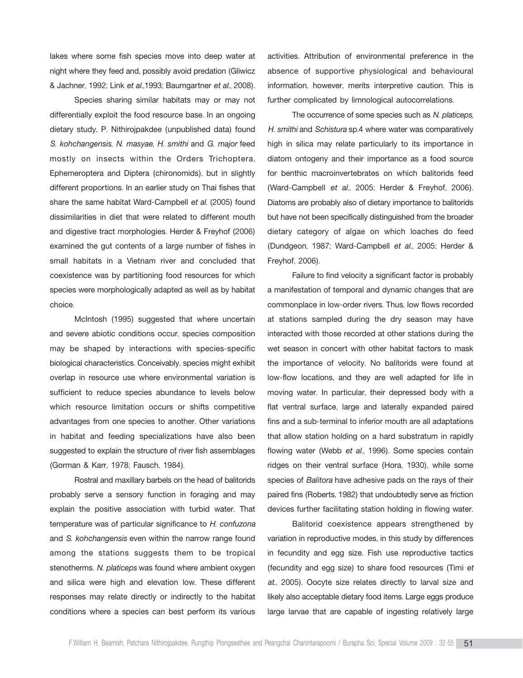lakes where some fish species move into deep water at night where they feed and, possibly avoid predation (Gliwicz & Jachner, 1992; Link *et al.,*1993; Baumgartner *et al.,* 2008).

Species sharing similar habitats may or may not differentially exploit the food resource base. In an ongoing dietary study, P. Nithirojpakdee (unpublished data) found *S. kohchangensis*, *N. masyae*, *H. smithi* and *G. major* feed mostly on insects within the Orders Trichoptera, Ephemeroptera and Diptera (chironomids), but in slightly different proportions. In an earlier study on Thai fishes that share the same habitat Ward-Campbell *et al*. (2005) found dissimilarities in diet that were related to different mouth and digestive tract morphologies. Herder & Freyhof (2006) examined the gut contents of a large number of fishes in small habitats in a Vietnam river and concluded that coexistence was by partitioning food resources for which species were morphologically adapted as well as by habitat choice.

McIntosh (1995) suggested that where uncertain and severe abiotic conditions occur, species composition may be shaped by interactions with species-specific biological characteristics. Conceivably, species might exhibit overlap in resource use where environmental variation is sufficient to reduce species abundance to levels below which resource limitation occurs or shifts competitive advantages from one species to another. Other variations in habitat and feeding specializations have also been suggested to explain the structure of river fish assemblages (Gorman & Karr, 1978; Fausch, 1984).

Rostral and maxillary barbels on the head of balitorids probably serve a sensory function in foraging and may explain the positive association with turbid water. That temperature was of particular significance to *H. confuzona* and *S. kohchangensis* even within the narrow range found among the stations suggests them to be tropical stenotherms*. N. platiceps* was found where ambient oxygen and silica were high and elevation low. These different responses may relate directly or indirectly to the habitat conditions where a species can best perform its various activities. Attribution of environmental preference in the absence of supportive physiological and behavioural information, however, merits interpretive caution. This is further complicated by limnological autocorrelations.

The occurrence of some species such as *N. platiceps, H. smithi* and *Schistura* sp.4 where water was comparatively high in silica may relate particularly to its importance in diatom ontogeny and their importance as a food source for benthic macroinvertebrates on which balitorids feed (Ward-Campbell *et al.,* 2005; Herder & Freyhof, 2006). Diatoms are probably also of dietary importance to balitorids but have not been specifically distinguished from the broader dietary category of algae on which loaches do feed (Dundgeon, 1987; Ward-Campbell *et al.,* 2005; Herder & Freyhof, 2006).

Failure to find velocity a significant factor is probably a manifestation of temporal and dynamic changes that are commonplace in low-order rivers. Thus, low flows recorded at stations sampled during the dry season may have interacted with those recorded at other stations during the wet season in concert with other habitat factors to mask the importance of velocity. No balitorids were found at low-flow locations, and they are well adapted for life in moving water. In particular, their depressed body with a flat ventral surface, large and laterally expanded paired fins and a sub-terminal to inferior mouth are all adaptations that allow station holding on a hard substratum in rapidly flowing water (Webb *et al.,* 1996). Some species contain ridges on their ventral surface (Hora, 1930), while some species of *Balitora* have adhesive pads on the rays of their paired fins (Roberts, 1982) that undoubtedly serve as friction devices further facilitating station holding in flowing water.

Balitorid coexistence appears strengthened by variation in reproductive modes, in this study by differences in fecundity and egg size. Fish use reproductive tactics (fecundity and egg size) to share food resources (Timi *et at*., 2005). Oocyte size relates directly to larval size and likely also acceptable dietary food items. Large eggs produce large larvae that are capable of ingesting relatively large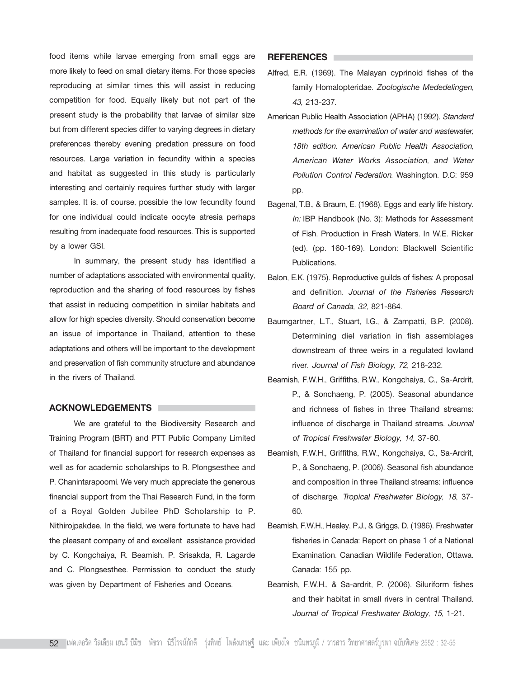food items while larvae emerging from small eggs are more likely to feed on small dietary items. For those species reproducing at similar times this will assist in reducing competition for food. Equally likely but not part of the present study is the probability that larvae of similar size but from different species differ to varying degrees in dietary preferences thereby evening predation pressure on food resources. Large variation in fecundity within a species and habitat as suggested in this study is particularly interesting and certainly requires further study with larger samples. It is, of course, possible the low fecundity found for one individual could indicate oocyte atresia perhaps resulting from inadequate food resources. This is supported by a lower GSI.

In summary, the present study has identified a number of adaptations associated with environmental quality, reproduction and the sharing of food resources by fishes that assist in reducing competition in similar habitats and allow for high species diversity. Should conservation become an issue of importance in Thailand, attention to these adaptations and others will be important to the development and preservation of fish community structure and abundance in the rivers of Thailand.

#### **ACKNOWLEDGEMENTS**

We are grateful to the Biodiversity Research and Training Program (BRT) and PTT Public Company Limited of Thailand for financial support for research expenses as well as for academic scholarships to R. Plongsesthee and P. Chanintarapoomi. We very much appreciate the generous financial support from the Thai Research Fund, in the form of a Royal Golden Jubilee PhD Scholarship to P. Nithirojpakdee. In the field, we were fortunate to have had the pleasant company of and excellent assistance provided by C. Kongchaiya, R. Beamish, P. Srisakda, R. Lagarde and C. Plongsesthee. Permission to conduct the study was given by Department of Fisheries and Oceans.

## **REFERENCES**

- Alfred, E.R. (1969). The Malayan cyprinoid fishes of the family Homalopteridae. *Zoologische Mededelingen, 43*, 213-237.
- American Public Health Association (APHA) (1992). *Standard methods for the examination of water and wastewater, 18th edition. American Public Health Association, American Water Works Association, and Water Pollution Control Federation*. Washington. D.C: 959 pp.
- Bagenal, T.B., & Braum, E. (1968). Eggs and early life history. *In:* IBP Handbook (No. 3): Methods for Assessment of Fish. Production in Fresh Waters. In W.E. Ricker (ed). (pp. 160-169). London: Blackwell Scientific Publications.
- Balon, E.K. (1975). Reproductive guilds of fishes: A proposal and definition. *Journal of the Fisheries Research Board of Canada, 32*, 821-864.
- Baumgartner, L.T., Stuart, I.G., & Zampatti, B.P. (2008). Determining diel variation in fish assemblages downstream of three weirs in a regulated lowland river. *Journal of Fish Biology, 72*, 218-232.
- Beamish, F.W.H., Griffiths, R.W., Kongchaiya, C., Sa-Ardrit, P., & Sonchaeng, P. (2005). Seasonal abundance and richness of fishes in three Thailand streams: influence of discharge in Thailand streams. *Journal of Tropical Freshwater Biology, 14*, 37-60.
- Beamish, F.W.H., Griffiths, R.W., Kongchaiya, C., Sa-Ardrit, P., & Sonchaeng, P. (2006). Seasonal fish abundance and composition in three Thailand streams: influence of discharge. *Tropical Freshwater Biology, 18*, 37- 60.
- Beamish, F.W.H., Healey, P.J., & Griggs, D. (1986). Freshwater fisheries in Canada: Report on phase 1 of a National Examination. Canadian Wildlife Federation, Ottawa. Canada: 155 pp.
- Beamish, F.W.H., & Sa-ardrit, P. (2006). Siluriform fishes and their habitat in small rivers in central Thailand. *Journal of Tropical Freshwater Biology, 15*, 1-21.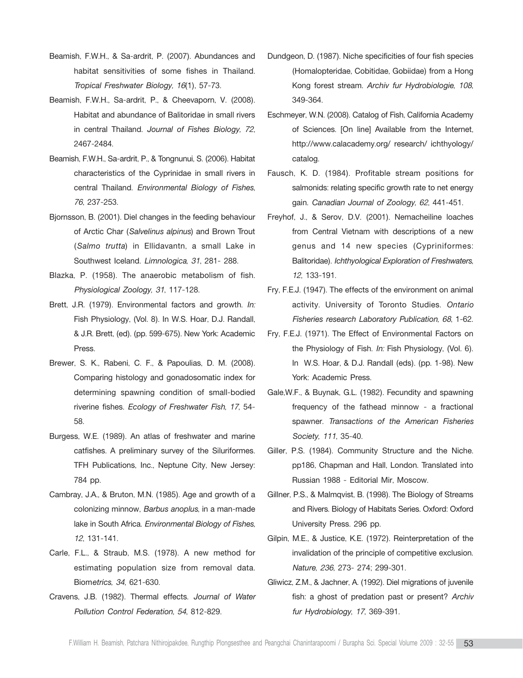- Beamish, F.W.H., & Sa-ardrit, P. (2007). Abundances and habitat sensitivities of some fishes in Thailand. *Tropical Freshwater Biology, 16*(1), 57-73.
- Beamish, F.W.H., Sa-ardrit, P., & Cheevaporn, V. (2008). Habitat and abundance of Balitoridae in small rivers in central Thailand. *Journal of Fishes Biology, 72*, 2467-2484.
- Beamish, F.W.H., Sa-ardrit, P., & Tongnunui, S. (2006). Habitat characteristics of the Cyprinidae in small rivers in central Thailand. *Environmental Biology of Fishes, 76*, 237-253.
- Bjornsson, B. (2001). Diel changes in the feeding behaviour of Arctic Char (*Salvelinus alpinus*) and Brown Trout (*Salmo trutta*) in Ellidavantn, a small Lake in Southwest Iceland. *Limnologica, 31*, 281- 288.
- Blazka, P. (1958). The anaerobic metabolism of fish. *Physiological Zoology, 31*, 117-128.
- Brett, J.R. (1979). Environmental factors and growth. *In:* Fish Physiology, (Vol. 8). In W.S. Hoar, D.J. Randall, & J.R. Brett, (ed). (pp. 599-675). New York: Academic Press.
- Brewer, S. K., Rabeni, C. F., & Papoulias, D. M. (2008). Comparing histology and gonadosomatic index for determining spawning condition of small-bodied riverine fishes. *Ecology of Freshwater Fish, 17*, 54- 58.
- Burgess, W.E. (1989). An atlas of freshwater and marine catfishes. A preliminary survey of the Siluriformes. TFH Publications, Inc., Neptune City, New Jersey: 784 pp.
- Cambray, J.A., & Bruton, M.N. (1985). Age and growth of a colonizing minnow, *Barbus anoplus*, in a man-made lake in South Africa. *Environmental Biology of Fishes, 12*, 131-141.
- Carle, F.L., & Straub, M.S. (1978). A new method for estimating population size from removal data. Biom*etrics, 34*, 621-630.
- Cravens, J.B. (1982). Thermal effects. *Journal of Water Pollution Control Federation, 54*, 812-829.
- Dundgeon, D. (1987). Niche specificities of four fish species (Homalopteridae, Cobitidae, Gobiidae) from a Hong Kong forest stream. *Archiv fur Hydrobiologie, 108*, 349-364.
- Eschmeyer, W.N. (2008). Catalog of Fish, California Academy of Sciences. [On line] Available from the Internet, http://www.calacademy.org/ research/ ichthyology/ catalog.
- Fausch, K. D. (1984). Profitable stream positions for salmonids: relating specific growth rate to net energy gain. *Canadian Journal of Zoology, 62*, 441-451.
- Freyhof, J., & Serov, D.V. (2001). Nemacheiline loaches from Central Vietnam with descriptions of a new genus and 14 new species (Cypriniformes: Balitoridae). *Ichthyological Exploration of Freshwaters, 12*, 133-191.
- Fry, F.E.J. (1947). The effects of the environment on animal activity. University of Toronto Studies. *Ontario Fisheries research Laboratory Publication, 68*, 1-62.
- Fry, F.E.J. (1971). The Effect of Environmental Factors on the Physiology of Fish. *In:* Fish Physiology, (Vol. 6). In W.S. Hoar, & D.J. Randall (eds). (pp. 1-98). New York: Academic Press.
- Gale,W.F., & Buynak, G.L. (1982). Fecundity and spawning frequency of the fathead minnow - a fractional spawner. *Transactions of the American Fisheries Society, 111*, 35-40.
- Giller, P.S. (1984). Community Structure and the Niche. pp186, Chapman and Hall, London. Translated into Russian 1988 - Editorial Mir, Moscow.
- Gillner, P.S., & Malmqvist, B. (1998). The Biology of Streams and Rivers. Biology of Habitats Series. Oxford: Oxford University Press. 296 pp.
- Gilpin, M.E., & Justice, K.E. (1972). Reinterpretation of the invalidation of the principle of competitive exclusion. *Nature, 236*, 273- 274; 299-301.
- Gliwicz, Z.M., & Jachner, A. (1992). Diel migrations of juvenile fish: a ghost of predation past or present? *Archiv fur Hydrobiology, 17*, 369-391.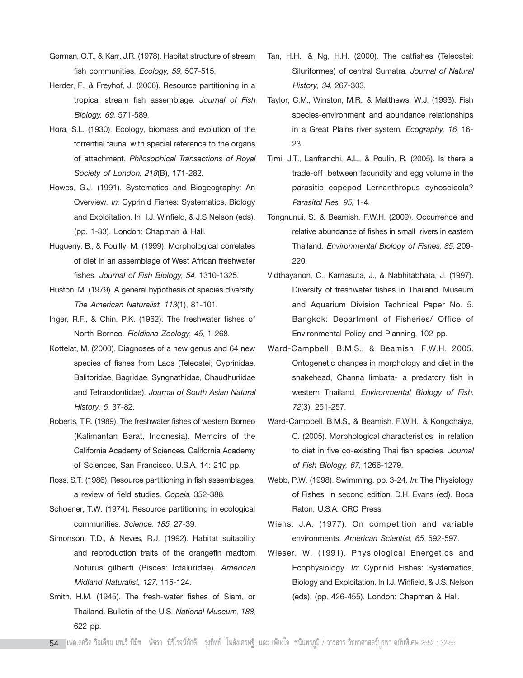- Gorman, O.T., & Karr, J.R. (1978). Habitat structure of stream fish communities. *Ecology, 59*, 507-515.
- Herder, F., & Freyhof, J. (2006). Resource partitioning in a tropical stream fish assemblage. *Journal of Fish Biology, 69*, 571-589.
- Hora, S.L. (1930). Ecology, biomass and evolution of the torrential fauna, with special reference to the organs of attachment. *Philosophical Transactions of Royal Society of London, 218*(B), 171-282.
- Howes, G.J. (1991). Systematics and Biogeography: An Overview. *In:* Cyprinid Fishes: Systematics, Biology and Exploitation. In I.J. Winfield, & J.S Nelson (eds). (pp. 1-33). London: Chapman & Hall.
- Hugueny, B., & Pouilly, M. (1999). Morphological correlates of diet in an assemblage of West African freshwater fishes. *Journal of Fish Biology, 54*, 1310-1325.
- Huston, M. (1979). A general hypothesis of species diversity. *The American Naturalist, 113*(1), 81-101.
- Inger, R.F., & Chin, P.K. (1962). The freshwater fishes of North Borneo. *Fieldiana Zoology, 45*, 1-268.
- Kottelat, M. (2000). Diagnoses of a new genus and 64 new species of fishes from Laos (Teleostei; Cyprinidae, Balitoridae, Bagridae, Syngnathidae, Chaudhuriidae and Tetraodontidae). *Journal of South Asian Natural History, 5*, 37-82.
- Roberts, T.R. (1989). The freshwater fishes of western Borneo (Kalimantan Barat, Indonesia). Memoirs of the California Academy of Sciences. California Academy of Sciences, San Francisco, U.S.A. 14: 210 pp.
- Ross, S.T. (1986). Resource partitioning in fish assemblages: a review of field studies. *Copeia*, 352-388.
- Schoener, T.W. (1974). Resource partitioning in ecological communities. *Science, 185*, 27-39.
- Simonson, T.D., & Neves, R.J. (1992). Habitat suitability and reproduction traits of the orangefin madtom Noturus gilberti (Pisces: Ictaluridae). *American Midland Naturalist, 127*, 115-124.
- Smith, H.M. (1945). The fresh-water fishes of Siam, or Thailand. Bulletin of the U.S. *National Museum, 188*, 622 pp.
- Tan, H.H., & Ng, H.H. (2000). The catfishes (Teleostei: Siluriformes) of central Sumatra. *Journal of Natural History, 34*, 267-303.
- Taylor, C.M., Winston, M.R., & Matthews, W.J. (1993). Fish species-environment and abundance relationships in a Great Plains river system. *Ecography, 16*, 16- 23.
- Timi, J.T., Lanfranchi, A.L., & Poulin, R. (2005). Is there a trade-off between fecundity and egg volume in the parasitic copepod Lernanthropus cynoscicola? *Parasitol Res, 95*, 1-4.
- Tongnunui, S., & Beamish, F.W.H. (2009). Occurrence and relative abundance of fishes in small rivers in eastern Thailand. *Environmental Biology of Fishes, 85*, 209- 220.
- Vidthayanon, C., Karnasuta, J., & Nabhitabhata, J. (1997). Diversity of freshwater fishes in Thailand. Museum and Aquarium Division Technical Paper No. 5. Bangkok: Department of Fisheries/ Office of Environmental Policy and Planning, 102 pp.
- Ward-Campbell, B.M.S., & Beamish, F.W.H. 2005. Ontogenetic changes in morphology and diet in the snakehead, Channa limbata- a predatory fish in western Thailand. *Environmental Biology of Fish, 72*(3), 251-257.
- Ward-Campbell, B.M.S., & Beamish, F.W.H., & Kongchaiya, C. (2005). Morphological characteristics in relation to diet in five co-existing Thai fish species. *Journal of Fish Biology, 67*, 1266-1279.
- Webb, P.W. (1998). Swimming. pp. 3-24. *In:* The Physiology of Fishes. In second edition. D.H. Evans (ed). Boca Raton, U.S.A: CRC Press.
- Wiens, J.A. (1977). On competition and variable environments. *American Scientist, 65*, 592-597.
- Wieser, W. (1991). Physiological Energetics and Ecophysiology. *In:* Cyprinid Fishes: Systematics, Biology and Exploitation. In I.J. Winfield, & J.S. Nelson (eds). (pp. 426-455). London: Chapman & Hall.